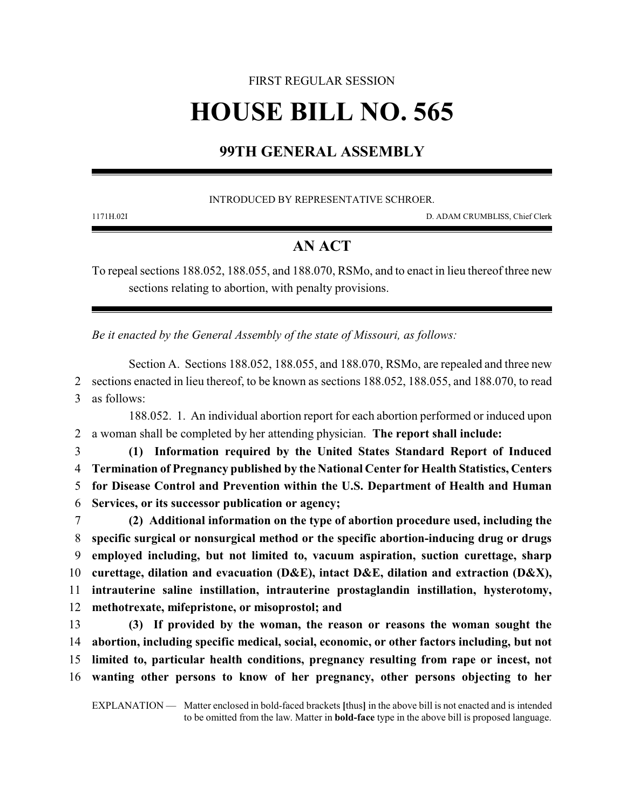# FIRST REGULAR SESSION **HOUSE BILL NO. 565**

## **99TH GENERAL ASSEMBLY**

INTRODUCED BY REPRESENTATIVE SCHROER.

1171H.02I D. ADAM CRUMBLISS, Chief Clerk

## **AN ACT**

To repeal sections 188.052, 188.055, and 188.070, RSMo, and to enact in lieu thereof three new sections relating to abortion, with penalty provisions.

*Be it enacted by the General Assembly of the state of Missouri, as follows:*

Section A. Sections 188.052, 188.055, and 188.070, RSMo, are repealed and three new 2 sections enacted in lieu thereof, to be known as sections 188.052, 188.055, and 188.070, to read 3 as follows:

188.052. 1. An individual abortion report for each abortion performed or induced upon 2 a woman shall be completed by her attending physician. **The report shall include:**

 **(1) Information required by the United States Standard Report of Induced Termination of Pregnancy published by the National Center for Health Statistics, Centers for Disease Control and Prevention within the U.S. Department of Health and Human Services, or its successor publication or agency;**

 **(2) Additional information on the type of abortion procedure used, including the specific surgical or nonsurgical method or the specific abortion-inducing drug or drugs employed including, but not limited to, vacuum aspiration, suction curettage, sharp curettage, dilation and evacuation (D&E), intact D&E, dilation and extraction (D&X), intrauterine saline instillation, intrauterine prostaglandin instillation, hysterotomy, methotrexate, mifepristone, or misoprostol; and**

 **(3) If provided by the woman, the reason or reasons the woman sought the abortion, including specific medical, social, economic, or other factors including, but not limited to, particular health conditions, pregnancy resulting from rape or incest, not wanting other persons to know of her pregnancy, other persons objecting to her**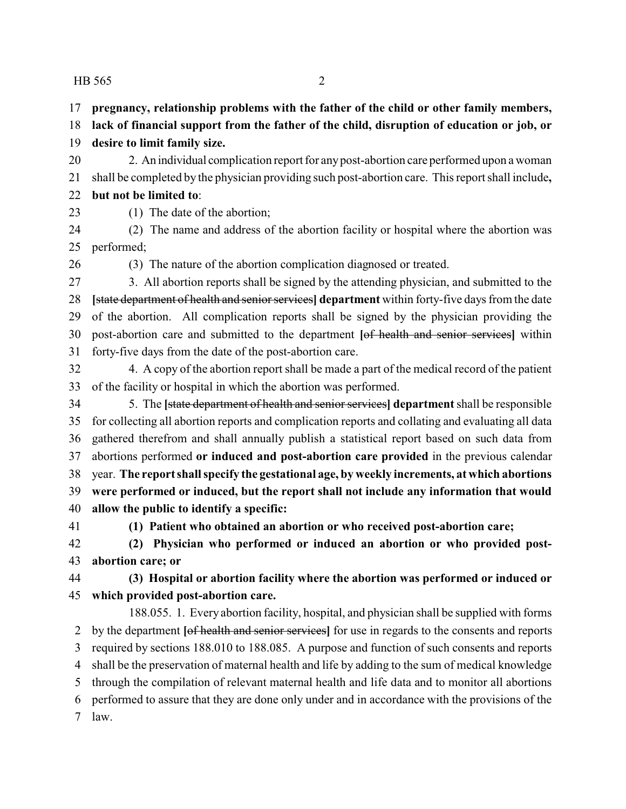#### HB 565 2

**pregnancy, relationship problems with the father of the child or other family members,**

 **lack of financial support from the father of the child, disruption of education or job, or desire to limit family size.**

 2. An individual complication report for anypost-abortion care performed upon a woman shall be completed by the physician providing such post-abortion care. This report shall include**, but not be limited to**:

- 
- 

(1) The date of the abortion;

 (2) The name and address of the abortion facility or hospital where the abortion was performed;

(3) The nature of the abortion complication diagnosed or treated.

 3. All abortion reports shall be signed by the attending physician, and submitted to the **[**state department of health and senior services**] department** within forty-five days from the date of the abortion. All complication reports shall be signed by the physician providing the post-abortion care and submitted to the department **[**of health and senior services**]** within forty-five days from the date of the post-abortion care.

 4. A copy of the abortion report shall be made a part of the medical record of the patient of the facility or hospital in which the abortion was performed.

 5. The **[**state department of health and senior services**] department**shall be responsible for collecting all abortion reports and complication reports and collating and evaluating all data gathered therefrom and shall annually publish a statistical report based on such data from abortions performed **or induced and post-abortion care provided** in the previous calendar year. **The report shall specify the gestational age, by weekly increments, at which abortions were performed or induced, but the report shall not include any information that would allow the public to identify a specific:**

**(1) Patient who obtained an abortion or who received post-abortion care;**

 **(2) Physician who performed or induced an abortion or who provided post-abortion care; or**

### **(3) Hospital or abortion facility where the abortion was performed or induced or which provided post-abortion care.**

188.055. 1. Every abortion facility, hospital, and physician shall be supplied with forms by the department **[**of health and senior services**]** for use in regards to the consents and reports required by sections 188.010 to 188.085. A purpose and function of such consents and reports shall be the preservation of maternal health and life by adding to the sum of medical knowledge through the compilation of relevant maternal health and life data and to monitor all abortions performed to assure that they are done only under and in accordance with the provisions of the law.